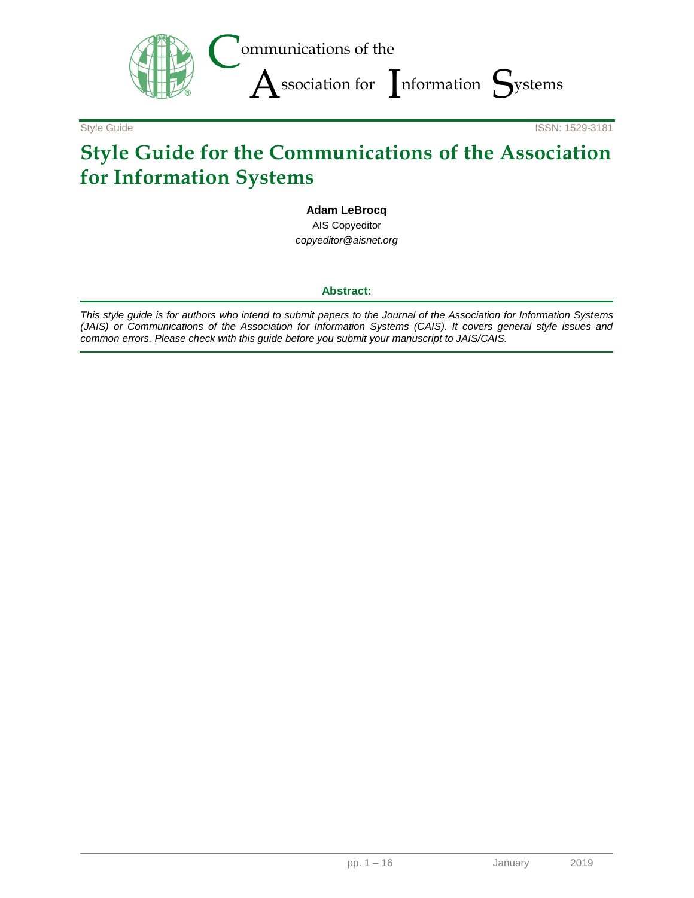

Style Guide **ISSN: 1529-3181** 

# **Style Guide for the Communications of the Association for Information Systems**

### **Adam LeBrocq**

AIS Copyeditor *copyeditor@aisnet.org*

### **Abstract:**

*This style guide is for authors who intend to submit papers to the Journal of the Association for Information Systems (JAIS) or Communications of the Association for Information Systems (CAIS). It covers general style issues and common errors. Please check with this guide before you submit your manuscript to JAIS/CAIS.*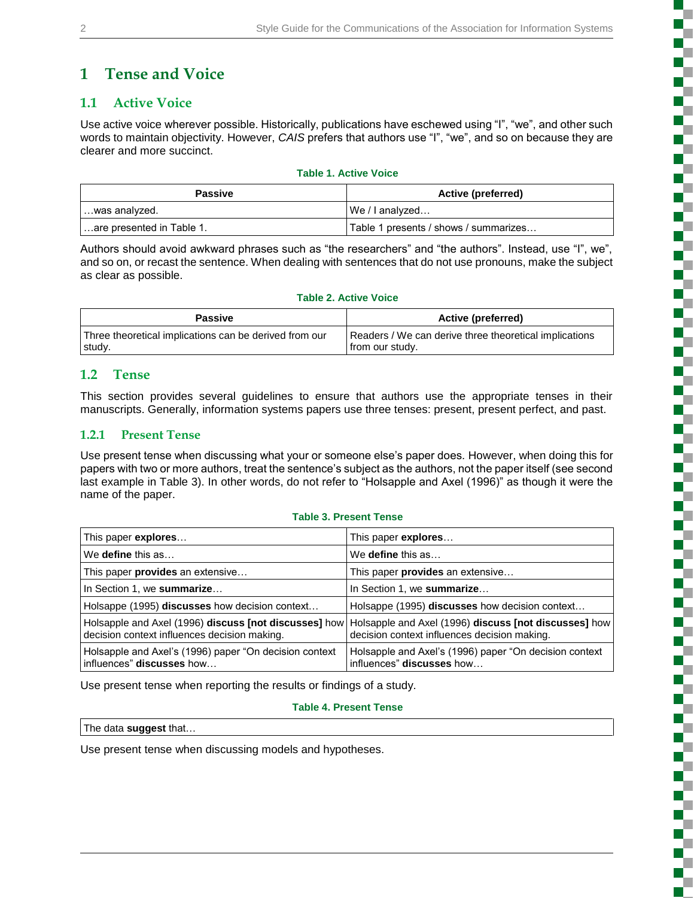# **1 Tense and Voice**

# **1.1 Active Voice**

Use active voice wherever possible. Historically, publications have eschewed using "I", "we", and other such words to maintain objectivity. However, *CAIS* prefers that authors use "I", "we", and so on because they are clearer and more succinct.

#### **Table 1. Active Voice**

| <b>Passive</b>            | <b>Active (preferred)</b>             |
|---------------------------|---------------------------------------|
| …was analyzed.            | We / Lanalyzed                        |
| are presented in Table 1. | Table 1 presents / shows / summarizes |

Authors should avoid awkward phrases such as "the researchers" and "the authors". Instead, use "I", we", and so on, or recast the sentence. When dealing with sentences that do not use pronouns, make the subject as clear as possible.

#### **Table 2. Active Voice**

| Passive                                                | Active (preferred)                                     |
|--------------------------------------------------------|--------------------------------------------------------|
| Three theoretical implications can be derived from our | Readers / We can derive three theoretical implications |
| study.                                                 | from our study.                                        |

### **1.2 Tense**

This section provides several guidelines to ensure that authors use the appropriate tenses in their manuscripts. Generally, information systems papers use three tenses: present, present perfect, and past.

### **1.2.1 Present Tense**

Use present tense when discussing what your or someone else's paper does*.* However, when doing this for papers with two or more authors, treat the sentence's subject as the authors, not the paper itself (see second last example in Table 3). In other words, do not refer to "Holsapple and Axel (1996)" as though it were the name of the paper.

#### **Table 3. Present Tense**

| This paper <b>explores</b>                                                          | This paper <b>explores</b>                                                                                                                                  |
|-------------------------------------------------------------------------------------|-------------------------------------------------------------------------------------------------------------------------------------------------------------|
| We <b>define</b> this as                                                            | We <b>define</b> this as                                                                                                                                    |
| This paper provides an extensive                                                    | This paper provides an extensive                                                                                                                            |
| In Section 1, we summarize                                                          | In Section 1, we summarize                                                                                                                                  |
| Holsappe (1995) discusses how decision context                                      | Holsappe (1995) discusses how decision context                                                                                                              |
| decision context influences decision making.                                        | Holsapple and Axel (1996) discuss [not discusses] how Holsapple and Axel (1996) discuss [not discusses] how<br>decision context influences decision making. |
| Holsapple and Axel's (1996) paper "On decision context<br>influences" discusses how | Holsapple and Axel's (1996) paper "On decision context"<br>influences" discusses how                                                                        |

Use present tense when reporting the results or findings of a study.

#### **Table 4. Present Tense**

The data **suggest** that…

Use present tense when discussing models and hypotheses.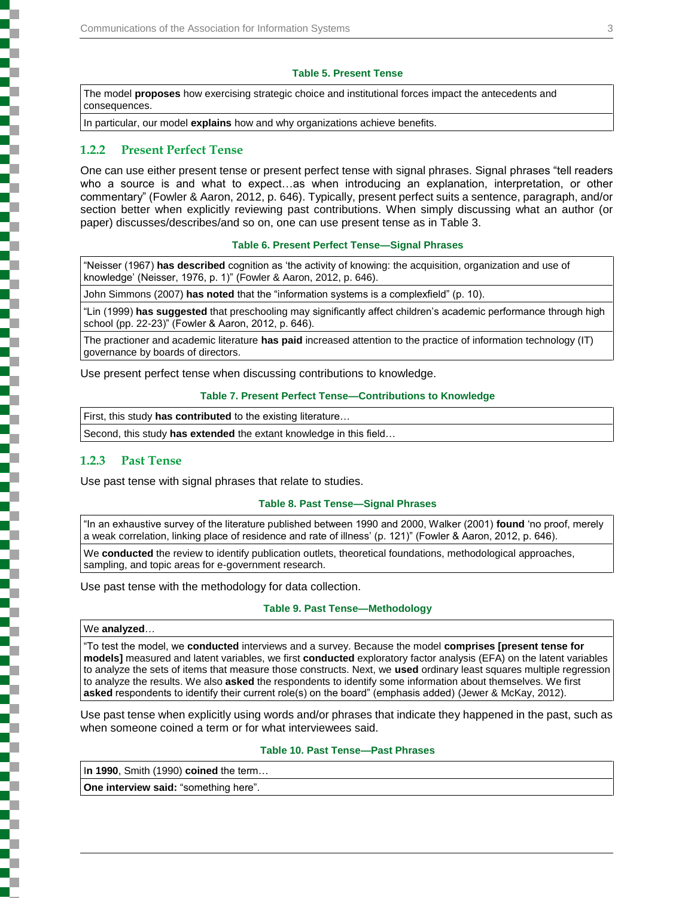#### **Table 5. Present Tense**

The model **proposes** how exercising strategic choice and institutional forces impact the antecedents and consequences.

In particular, our model **explains** how and why organizations achieve benefits.

### **1.2.2 Present Perfect Tense**

One can use either present tense or present perfect tense with signal phrases. Signal phrases "tell readers who a source is and what to expect…as when introducing an explanation, interpretation, or other commentary" (Fowler & Aaron, 2012, p. 646). Typically, present perfect suits a sentence, paragraph, and/or section better when explicitly reviewing past contributions. When simply discussing what an author (or paper) discusses/describes/and so on, one can use present tense as in Table 3.

#### **Table 6. Present Perfect Tense—Signal Phrases**

"Neisser (1967) **has described** cognition as 'the activity of knowing: the acquisition, organization and use of knowledge' (Neisser, 1976, p. 1)" (Fowler & Aaron, 2012, p. 646).

John Simmons (2007) **has noted** that the "information systems is a complexfield" (p. 10).

"Lin (1999) **has suggested** that preschooling may significantly affect children's academic performance through high school (pp. 22-23)" (Fowler & Aaron, 2012, p. 646).

The practioner and academic literature **has paid** increased attention to the practice of information technology (IT) governance by boards of directors.

Use present perfect tense when discussing contributions to knowledge.

#### **Table 7. Present Perfect Tense—Contributions to Knowledge**

First, this study **has contributed** to the existing literature…

Second, this study **has extended** the extant knowledge in this field…

#### **1.2.3 Past Tense**

Use past tense with signal phrases that relate to studies.

#### **Table 8. Past Tense—Signal Phrases**

"In an exhaustive survey of the literature published between 1990 and 2000, Walker (2001) **found** 'no proof, merely a weak correlation, linking place of residence and rate of illness' (p. 121)" (Fowler & Aaron, 2012, p. 646).

We **conducted** the review to identify publication outlets, theoretical foundations, methodological approaches, sampling, and topic areas for e-government research.

Use past tense with the methodology for data collection.

#### **Table 9. Past Tense—Methodology**

#### We **analyzed**…

"To test the model, we **conducted** interviews and a survey. Because the model **comprises [present tense for models]** measured and latent variables, we first **conducted** exploratory factor analysis (EFA) on the latent variables to analyze the sets of items that measure those constructs. Next, we **used** ordinary least squares multiple regression to analyze the results. We also **asked** the respondents to identify some information about themselves. We first **asked** respondents to identify their current role(s) on the board" (emphasis added) (Jewer & McKay, 2012).

Use past tense when explicitly using words and/or phrases that indicate they happened in the past, such as when someone coined a term or for what interviewees said.

### **Table 10. Past Tense—Past Phrases**

I**n 1990**, Smith (1990) **coined** the term…

**One interview said:** "something here".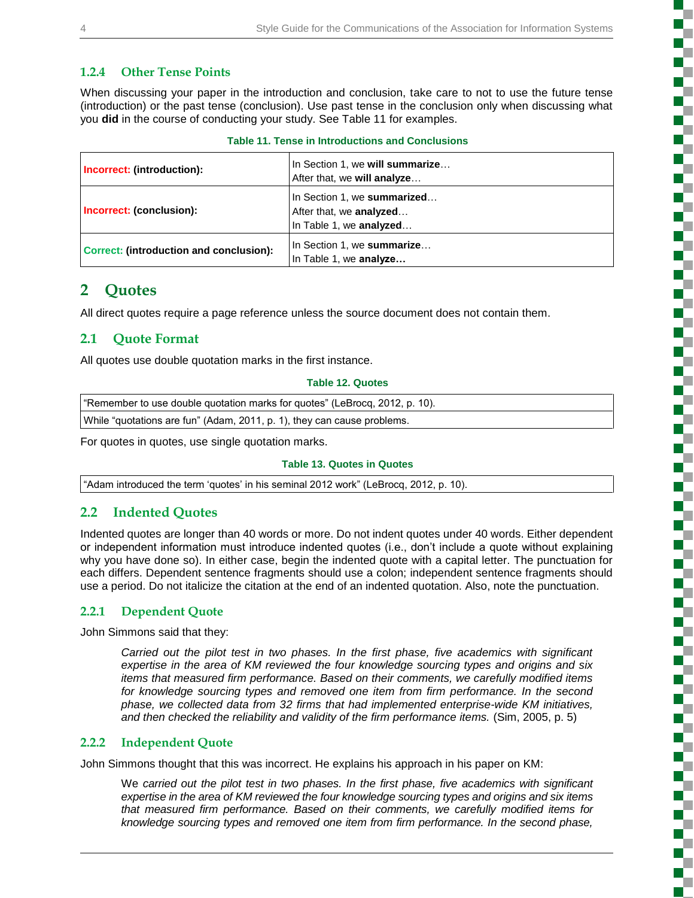### **1.2.4 Other Tense Points**

When discussing your paper in the introduction and conclusion, take care to not to use the future tense (introduction) or the past tense (conclusion). Use past tense in the conclusion only when discussing what you **did** in the course of conducting your study. See Table 11 for examples.

| <b>Table 11. Tense in Introductions and Conclusions</b> |  |
|---------------------------------------------------------|--|
|                                                         |  |

| Incorrect: (introduction):                     | In Section 1, we will summarize<br>After that, we will analyze                           |
|------------------------------------------------|------------------------------------------------------------------------------------------|
| Incorrect: (conclusion):                       | In Section 1, we summarized<br>After that, we <b>analyzed</b><br>In Table 1, we analyzed |
| <b>Correct: (introduction and conclusion):</b> | In Section 1, we summarize<br>In Table 1, we analyze                                     |

# **2 Quotes**

All direct quotes require a page reference unless the source document does not contain them.

## **2.1 Quote Format**

All quotes use double quotation marks in the first instance.

#### **Table 12. Quotes**

| "Remember to use double quotation marks for quotes" (LeBrocq, 2012, p. 10). |
|-----------------------------------------------------------------------------|
| While "quotations are fun" (Adam, 2011, p. 1), they can cause problems.     |
|                                                                             |

For quotes in quotes, use single quotation marks.

### **Table 13. Quotes in Quotes**

"Adam introduced the term 'quotes' in his seminal 2012 work" (LeBrocq, 2012, p. 10).

# **2.2 Indented Quotes**

Indented quotes are longer than 40 words or more. Do not indent quotes under 40 words. Either dependent or independent information must introduce indented quotes (i.e., don't include a quote without explaining why you have done so). In either case, begin the indented quote with a capital letter. The punctuation for each differs. Dependent sentence fragments should use a colon; independent sentence fragments should use a period. Do not italicize the citation at the end of an indented quotation. Also, note the punctuation.

### **2.2.1 Dependent Quote**

John Simmons said that they:

*Carried out the pilot test in two phases. In the first phase, five academics with significant expertise in the area of KM reviewed the four knowledge sourcing types and origins and six items that measured firm performance. Based on their comments, we carefully modified items*  for knowledge sourcing types and removed one item from firm performance. In the second *phase, we collected data from 32 firms that had implemented enterprise-wide KM initiatives, and then checked the reliability and validity of the firm performance items.* (Sim, 2005, p. 5)

### **2.2.2 Independent Quote**

John Simmons thought that this was incorrect. He explains his approach in his paper on KM:

We *carried out the pilot test in two phases. In the first phase, five academics with significant expertise in the area of KM reviewed the four knowledge sourcing types and origins and six items that measured firm performance. Based on their comments, we carefully modified items for knowledge sourcing types and removed one item from firm performance. In the second phase,*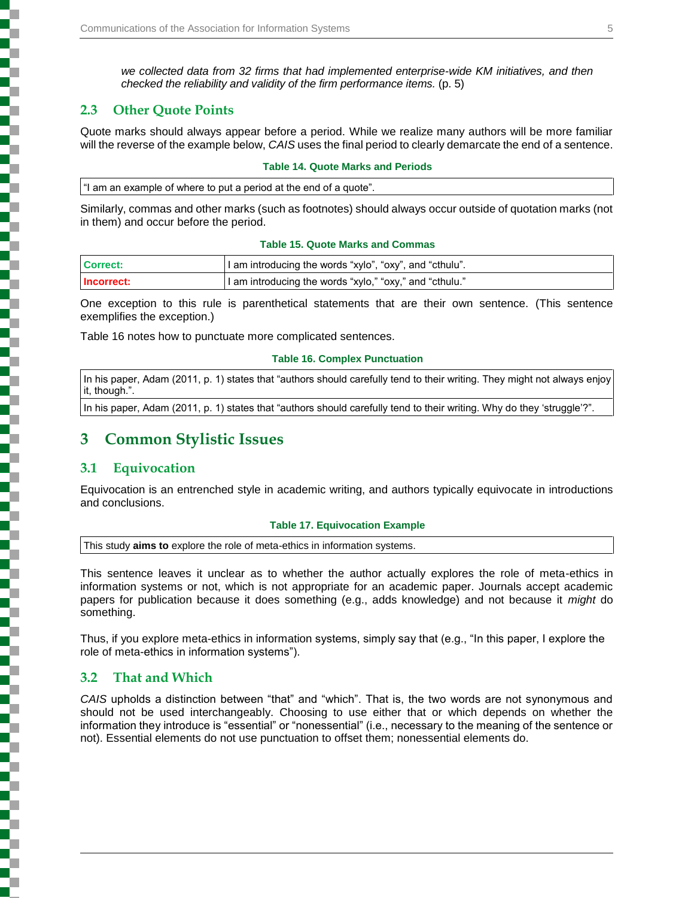*we collected data from 32 firms that had implemented enterprise-wide KM initiatives, and then checked the reliability and validity of the firm performance items.* (p. 5)

### **2.3 Other Quote Points**

Quote marks should always appear before a period. While we realize many authors will be more familiar will the reverse of the example below, *CAIS* uses the final period to clearly demarcate the end of a sentence.

#### **Table 14. Quote Marks and Periods**

"I am an example of where to put a period at the end of a quote".

Similarly, commas and other marks (such as footnotes) should always occur outside of quotation marks (not in them) and occur before the period.

#### **Table 15. Quote Marks and Commas**

| Correct:   | I am introducing the words "xylo", "oxy", and "cthulu". |
|------------|---------------------------------------------------------|
| Incorrect: | I am introducing the words "xylo," "oxy," and "cthulu." |

One exception to this rule is parenthetical statements that are their own sentence. (This sentence exemplifies the exception.)

Table 16 notes how to punctuate more complicated sentences.

#### **Table 16. Complex Punctuation**

In his paper, Adam (2011, p. 1) states that "authors should carefully tend to their writing. They might not always enjoy it, though.".

In his paper, Adam (2011, p. 1) states that "authors should carefully tend to their writing. Why do they 'struggle'?".

# **3 Common Stylistic Issues**

### **3.1 Equivocation**

Equivocation is an entrenched style in academic writing, and authors typically equivocate in introductions and conclusions.

#### **Table 17. Equivocation Example**

This study **aims to** explore the role of meta-ethics in information systems.

This sentence leaves it unclear as to whether the author actually explores the role of meta-ethics in information systems or not, which is not appropriate for an academic paper. Journals accept academic papers for publication because it does something (e.g., adds knowledge) and not because it *might* do something.

Thus, if you explore meta-ethics in information systems, simply say that (e.g., "In this paper, I explore the role of meta-ethics in information systems").

### **3.2 That and Which**

*CAIS* upholds a distinction between "that" and "which". That is, the two words are not synonymous and should not be used interchangeably. Choosing to use either that or which depends on whether the information they introduce is "essential" or "nonessential" (i.e., necessary to the meaning of the sentence or not). Essential elements do not use punctuation to offset them; nonessential elements do.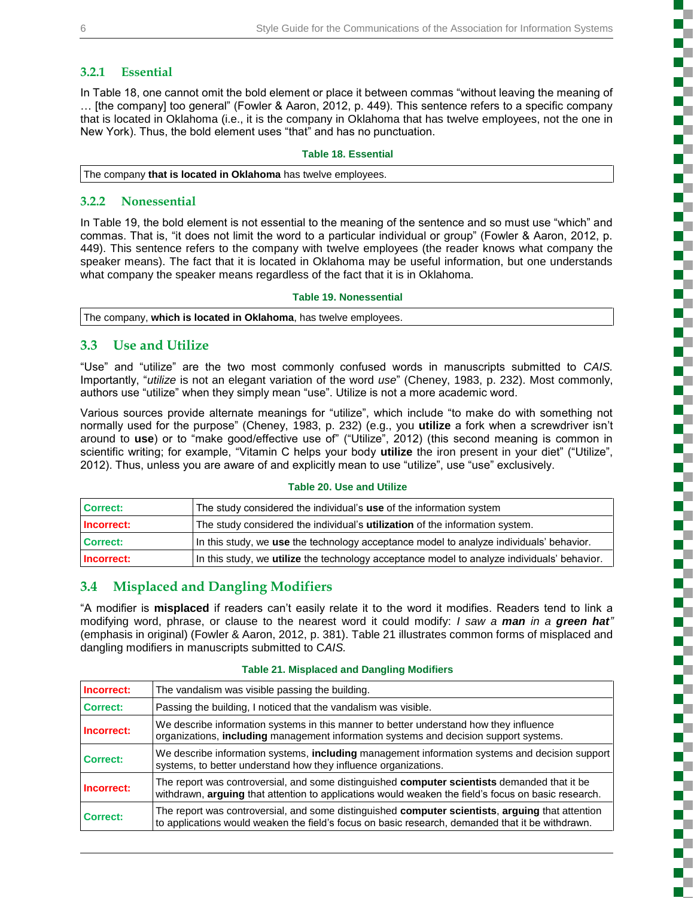### **3.2.1 Essential**

In Table 18, one cannot omit the bold element or place it between commas "without leaving the meaning of … [the company] too general" (Fowler & Aaron, 2012, p. 449). This sentence refers to a specific company that is located in Oklahoma (i.e., it is the company in Oklahoma that has twelve employees, not the one in New York). Thus, the bold element uses "that" and has no punctuation.

#### **Table 18. Essential**

The company **that is located in Oklahoma** has twelve employees.

### **3.2.2 Nonessential**

In Table 19, the bold element is not essential to the meaning of the sentence and so must use "which" and commas. That is, "it does not limit the word to a particular individual or group" (Fowler & Aaron, 2012, p. 449). This sentence refers to the company with twelve employees (the reader knows what company the speaker means). The fact that it is located in Oklahoma may be useful information, but one understands what company the speaker means regardless of the fact that it is in Oklahoma.

#### **Table 19. Nonessential**

The company, **which is located in Oklahoma**, has twelve employees.

### **3.3 Use and Utilize**

"Use" and "utilize" are the two most commonly confused words in manuscripts submitted to *CAIS.* Importantly, "*utilize* is not an elegant variation of the word *use*" (Cheney, 1983, p. 232). Most commonly, authors use "utilize" when they simply mean "use". Utilize is not a more academic word.

Various sources provide alternate meanings for "utilize", which include "to make do with something not normally used for the purpose" (Cheney, 1983, p. 232) (e.g., you **utilize** a fork when a screwdriver isn't around to **use**) or to "make good/effective use of" ("Utilize", 2012) (this second meaning is common in scientific writing; for example, "Vitamin C helps your body **utilize** the iron present in your diet" ("Utilize", 2012). Thus, unless you are aware of and explicitly mean to use "utilize", use "use" exclusively.

#### **Table 20. Use and Utilize**

| Correct:   | The study considered the individual's use of the information system                                |
|------------|----------------------------------------------------------------------------------------------------|
| Incorrect: | The study considered the individual's <b>utilization</b> of the information system.                |
| Correct:   | In this study, we use the technology acceptance model to analyze individuals' behavior.            |
| Incorrect: | In this study, we <b>utilize</b> the technology acceptance model to analyze individuals' behavior. |

### **3.4 Misplaced and Dangling Modifiers**

"A modifier is **misplaced** if readers can't easily relate it to the word it modifies. Readers tend to link a modifying word, phrase, or clause to the nearest word it could modify: *I saw a man in a green hat"* (emphasis in original) (Fowler & Aaron, 2012, p. 381). Table 21 illustrates common forms of misplaced and dangling modifiers in manuscripts submitted to C*AIS.*

| Incorrect:      | The vandalism was visible passing the building.                                                                                                                                                            |
|-----------------|------------------------------------------------------------------------------------------------------------------------------------------------------------------------------------------------------------|
| <b>Correct:</b> | Passing the building, I noticed that the vandalism was visible.                                                                                                                                            |
| Incorrect:      | We describe information systems in this manner to better understand how they influence<br>organizations, <b>including</b> management information systems and decision support systems.                     |
| Correct:        | We describe information systems, <b>including</b> management information systems and decision support<br>systems, to better understand how they influence organizations.                                   |
| Incorrect:      | The report was controversial, and some distinguished <b>computer scientists</b> demanded that it be<br>withdrawn, arguing that attention to applications would weaken the field's focus on basic research. |
| <b>Correct:</b> | The report was controversial, and some distinguished computer scientists, arguing that attention<br>to applications would weaken the field's focus on basic research, demanded that it be withdrawn.       |

#### **Table 21. Misplaced and Dangling Modifiers**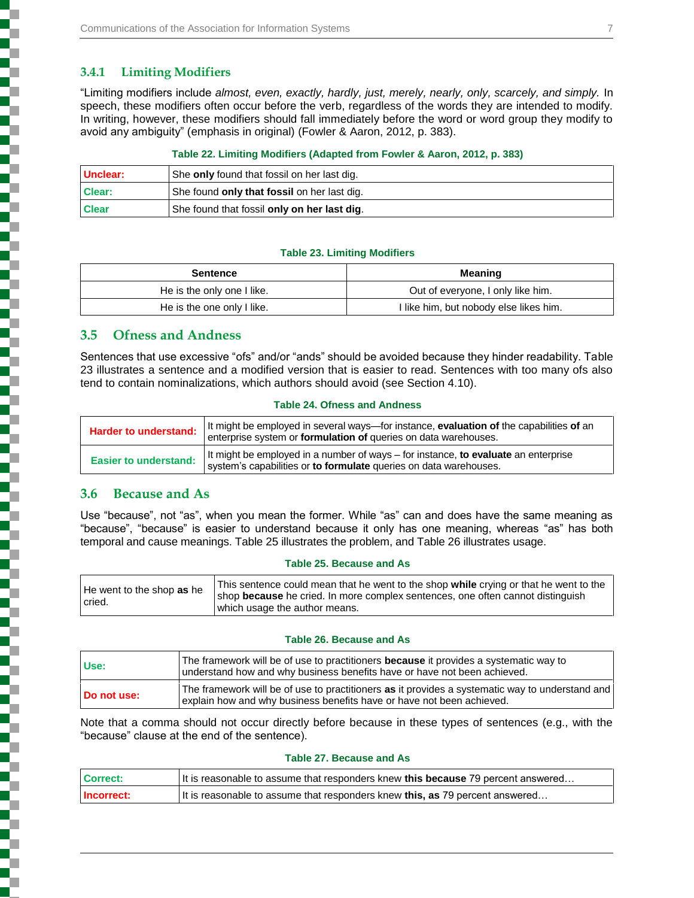### **3.4.1 Limiting Modifiers**

l

į

į

"Limiting modifiers include *almost, even, exactly, hardly, just, merely, nearly, only, scarcely, and simply.* In speech, these modifiers often occur before the verb, regardless of the words they are intended to modify. In writing, however, these modifiers should fall immediately before the word or word group they modify to avoid any ambiguity" (emphasis in original) (Fowler & Aaron, 2012, p. 383).

#### **Table 22. Limiting Modifiers (Adapted from Fowler & Aaron, 2012, p. 383)**

| Unclear:     | She only found that fossil on her last dig. |
|--------------|---------------------------------------------|
| Clear:       | She found only that fossil on her last dig. |
| <b>Clear</b> | She found that fossil only on her last dig. |

#### **Table 23. Limiting Modifiers**

| <b>Sentence</b>            | Meaning                                |
|----------------------------|----------------------------------------|
| He is the only one I like. | Out of everyone, I only like him.      |
| He is the one only I like. | l like him, but nobody else likes him. |

### **3.5 Ofness and Andness**

Sentences that use excessive "ofs" and/or "ands" should be avoided because they hinder readability. Table 23 illustrates a sentence and a modified version that is easier to read. Sentences with too many ofs also tend to contain nominalizations, which authors should avoid (see Section 4.10).

#### **Table 24. Ofness and Andness**

| Harder to understand:        | It might be employed in several ways—for instance, <b>evaluation of</b> the capabilities <b>of</b> an<br>enterprise system or formulation of queries on data warehouses. |  |
|------------------------------|--------------------------------------------------------------------------------------------------------------------------------------------------------------------------|--|
| <b>Easier to understand:</b> | It might be employed in a number of ways – for instance, to evaluate an enterprise<br>system's capabilities or to formulate queries on data warehouses.                  |  |

### **3.6 Because and As**

Use "because", not "as", when you mean the former. While "as" can and does have the same meaning as "because", "because" is easier to understand because it only has one meaning, whereas "as" has both temporal and cause meanings. Table 25 illustrates the problem, and Table 26 illustrates usage.

#### **Table 25. Because and As**

| He went to the shop as he<br>l cried. | This sentence could mean that he went to the shop while crying or that he went to the<br>shop because he cried. In more complex sentences, one often cannot distinguish<br>which usage the author means. |
|---------------------------------------|----------------------------------------------------------------------------------------------------------------------------------------------------------------------------------------------------------|
|---------------------------------------|----------------------------------------------------------------------------------------------------------------------------------------------------------------------------------------------------------|

#### **Table 26. Because and As**

| Use:        | The framework will be of use to practitioners <b>because</b> it provides a systematic way to<br>understand how and why business benefits have or have not been achieved. |
|-------------|--------------------------------------------------------------------------------------------------------------------------------------------------------------------------|
| Do not use: | The framework will be of use to practitioners as it provides a systematic way to understand and<br>explain how and why business benefits have or have not been achieved. |

Note that a comma should not occur directly before because in these types of sentences (e.g., with the "because" clause at the end of the sentence).

#### **Table 27. Because and As**

| <b>Correct:</b> | It is reasonable to assume that responders knew this because 79 percent answered |  |
|-----------------|----------------------------------------------------------------------------------|--|
| Incorrect:      | It is reasonable to assume that responders knew this, as 79 percent answered     |  |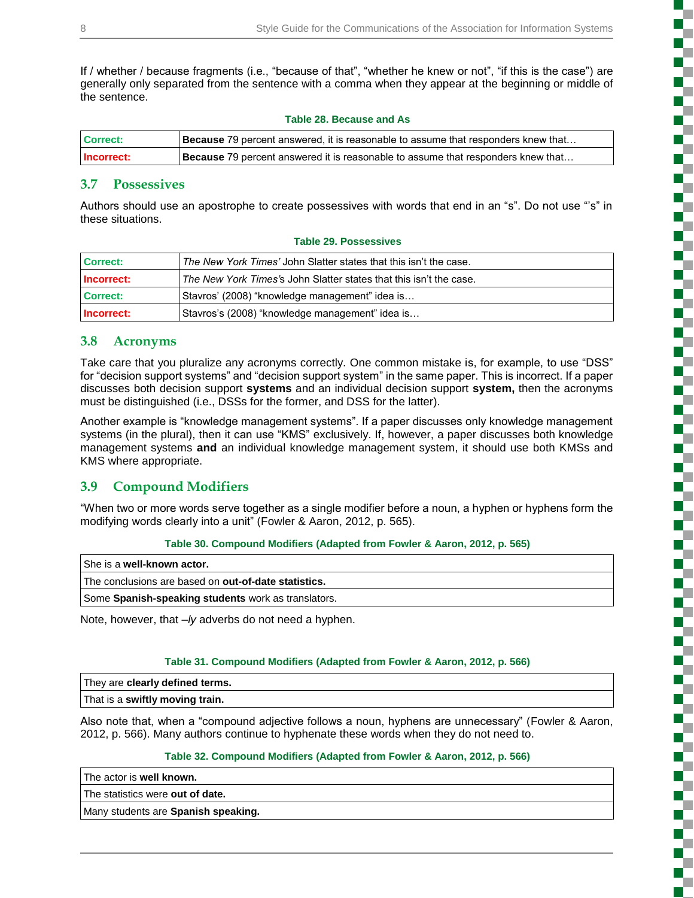If / whether / because fragments (i.e., "because of that", "whether he knew or not", "if this is the case") are generally only separated from the sentence with a comma when they appear at the beginning or middle of the sentence.

|  |  | <b>Table 28. Because and As</b> |  |  |
|--|--|---------------------------------|--|--|
|--|--|---------------------------------|--|--|

| Correct:          | <b>Because</b> 79 percent answered, it is reasonable to assume that responders knew that |
|-------------------|------------------------------------------------------------------------------------------|
| <b>Incorrect:</b> | <b>Because</b> 79 percent answered it is reasonable to assume that responders knew that  |

### **3.7 Possessives**

Authors should use an apostrophe to create possessives with words that end in an "s". Do not use "'s" in these situations.

| Correct:   | The New York Times' John Slatter states that this isn't the case.  |
|------------|--------------------------------------------------------------------|
| Incorrect: | The New York Times's John Slatter states that this isn't the case. |
| Correct:   | Stavros' (2008) "knowledge management" idea is                     |
| Incorrect: | Stavros's (2008) "knowledge management" idea is                    |

#### **Table 29. Possessives**

### **3.8 Acronyms**

Take care that you pluralize any acronyms correctly. One common mistake is, for example, to use "DSS" for "decision support systems" and "decision support system" in the same paper. This is incorrect. If a paper discusses both decision support **systems** and an individual decision support **system,** then the acronyms must be distinguished (i.e., DSSs for the former, and DSS for the latter).

Another example is "knowledge management systems". If a paper discusses only knowledge management systems (in the plural), then it can use "KMS" exclusively. If, however, a paper discusses both knowledge management systems **and** an individual knowledge management system, it should use both KMSs and KMS where appropriate.

### **3.9 Compound Modifiers**

"When two or more words serve together as a single modifier before a noun, a hyphen or hyphens form the modifying words clearly into a unit" (Fowler & Aaron, 2012, p. 565).

#### **Table 30. Compound Modifiers (Adapted from Fowler & Aaron, 2012, p. 565)**

| She is a well-known actor.                           |
|------------------------------------------------------|
| The conclusions are based on out-of-date statistics. |
| Some Spanish-speaking students work as translators.  |

Note, however, that *–ly* adverbs do not need a hyphen.

#### **Table 31. Compound Modifiers (Adapted from Fowler & Aaron, 2012, p. 566)**

| They are clearly defined terms. |  |
|---------------------------------|--|
| That is a swiftly moving train. |  |

Also note that, when a "compound adjective follows a noun, hyphens are unnecessary" (Fowler & Aaron, 2012, p. 566). Many authors continue to hyphenate these words when they do not need to.

#### **Table 32. Compound Modifiers (Adapted from Fowler & Aaron, 2012, p. 566)**

| The actor is well known.                   |  |
|--------------------------------------------|--|
| The statistics were out of date.           |  |
| Many students are <b>Spanish speaking.</b> |  |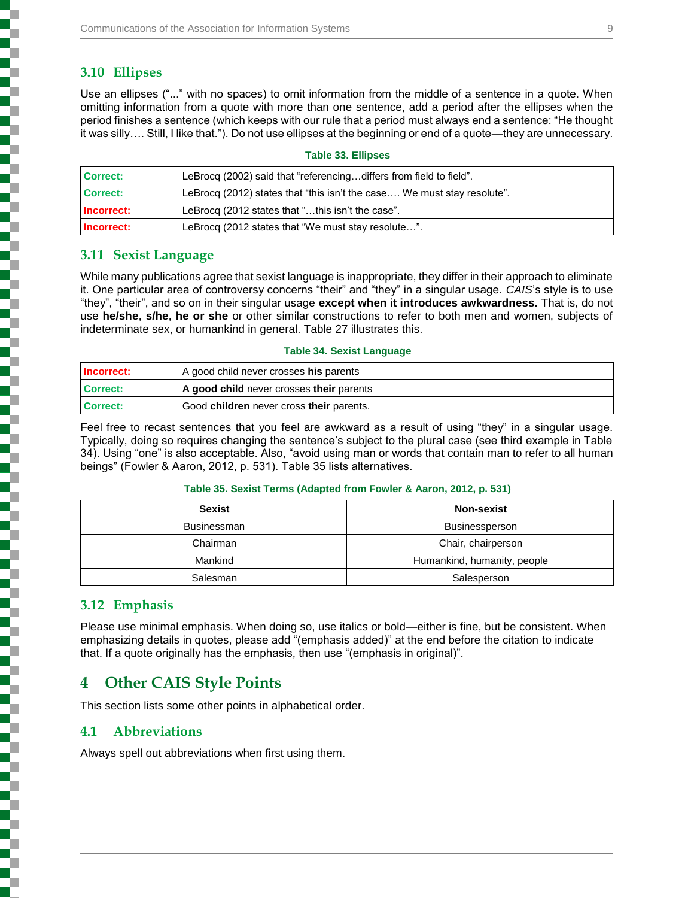### **3.10 Ellipses**

Use an ellipses ("..." with no spaces) to omit information from the middle of a sentence in a quote. When omitting information from a quote with more than one sentence, add a period after the ellipses when the period finishes a sentence (which keeps with our rule that a period must always end a sentence: "He thought it was silly…. Still, I like that."). Do not use ellipses at the beginning or end of a quote—they are unnecessary.

| <b>Correct:</b> | LeBrocq (2002) said that "referencingdiffers from field to field".      |
|-----------------|-------------------------------------------------------------------------|
| <b>Correct:</b> | LeBrocq (2012) states that "this isn't the case We must stay resolute". |
| Incorrect:      | LeBrocq (2012 states that "this isn't the case".                        |
| Incorrect:      | LeBrocq (2012 states that "We must stay resolute".                      |

#### **Table 33. Ellipses**

### **3.11 Sexist Language**

While many publications agree that sexist language is inappropriate, they differ in their approach to eliminate it. One particular area of controversy concerns "their" and "they" in a singular usage. *CAIS*'s style is to use "they", "their", and so on in their singular usage **except when it introduces awkwardness.** That is, do not use **he/she**, **s/he**, **he or she** or other similar constructions to refer to both men and women, subjects of indeterminate sex, or humankind in general. Table 27 illustrates this.

#### **Table 34. Sexist Language**

| Incorrect:      | A good child never crosses his parents   |  |
|-----------------|------------------------------------------|--|
| <b>Correct:</b> | A good child never crosses their parents |  |
| <b>Correct:</b> | Good children never cross their parents. |  |

Feel free to recast sentences that you feel are awkward as a result of using "they" in a singular usage. Typically, doing so requires changing the sentence's subject to the plural case (see third example in Table 34). Using "one" is also acceptable. Also, "avoid using man or words that contain man to refer to all human beings" (Fowler & Aaron, 2012, p. 531). Table 35 lists alternatives.

#### **Table 35. Sexist Terms (Adapted from Fowler & Aaron, 2012, p. 531)**

| <b>Sexist</b>      | <b>Non-sexist</b>           |
|--------------------|-----------------------------|
| <b>Businessman</b> | <b>Businessperson</b>       |
| Chairman           | Chair, chairperson          |
| Mankind            | Humankind, humanity, people |
| Salesman           | Salesperson                 |

### **3.12 Emphasis**

Please use minimal emphasis. When doing so, use italics or bold—either is fine, but be consistent. When emphasizing details in quotes, please add "(emphasis added)" at the end before the citation to indicate that. If a quote originally has the emphasis, then use "(emphasis in original)".

# **4 Other CAIS Style Points**

This section lists some other points in alphabetical order.

### **4.1 Abbreviations**

Always spell out abbreviations when first using them.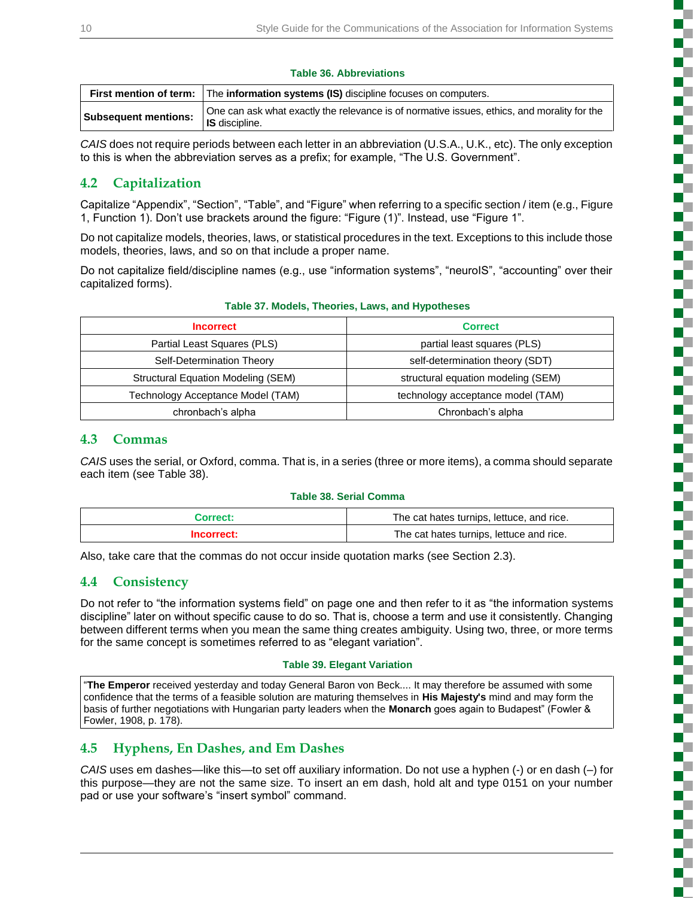ì

į

į

### **Table 36. Abbreviations**

|                             | <b>First mention of term:</b> The information systems (IS) discipline focuses on computers.                          |  |
|-----------------------------|----------------------------------------------------------------------------------------------------------------------|--|
| <b>Subsequent mentions:</b> | One can ask what exactly the relevance is of normative issues, ethics, and morality for the<br><b>IS</b> discipline. |  |

*CAIS* does not require periods between each letter in an abbreviation (U.S.A., U.K., etc). The only exception to this is when the abbreviation serves as a prefix; for example, "The U.S. Government".

## **4.2 Capitalization**

Capitalize "Appendix", "Section", "Table", and "Figure" when referring to a specific section / item (e.g., Figure 1, Function 1). Don't use brackets around the figure: "Figure (1)". Instead, use "Figure 1".

Do not capitalize models, theories, laws, or statistical procedures in the text. Exceptions to this include those models, theories, laws, and so on that include a proper name.

Do not capitalize field/discipline names (e.g., use "information systems", "neuroIS", "accounting" over their capitalized forms).

| <b>Incorrect</b>                   | <b>Correct</b>                     |
|------------------------------------|------------------------------------|
| Partial Least Squares (PLS)        | partial least squares (PLS)        |
| Self-Determination Theory          | self-determination theory (SDT)    |
| Structural Equation Modeling (SEM) | structural equation modeling (SEM) |
| Technology Acceptance Model (TAM)  | technology acceptance model (TAM)  |
| chronbach's alpha                  | Chronbach's alpha                  |

### **Table 37. Models, Theories, Laws, and Hypotheses**

### **4.3 Commas**

*CAIS* uses the serial, or Oxford, comma. That is, in a series (three or more items), a comma should separate each item (see Table 38).

#### **Table 38. Serial Comma**

| Correct:   | The cat hates turnips, lettuce, and rice. |
|------------|-------------------------------------------|
| Incorrect: | The cat hates turnips, lettuce and rice.  |

Also, take care that the commas do not occur inside quotation marks (see Section 2.3).

### **4.4 Consistency**

Do not refer to "the information systems field" on page one and then refer to it as "the information systems discipline" later on without specific cause to do so. That is, choose a term and use it consistently. Changing between different terms when you mean the same thing creates ambiguity. Using two, three, or more terms for the same concept is sometimes referred to as "elegant variation".

#### **Table 39. Elegant Variation**

"**The Emperor** received yesterday and today General Baron von Beck.... It may therefore be assumed with some confidence that the terms of a feasible solution are maturing themselves in **His Majesty's** mind and may form the basis of further negotiations with Hungarian party leaders when the **Monarch** goes again to Budapest" (Fowler & Fowler, 1908, p. 178).

### **4.5 Hyphens, En Dashes, and Em Dashes**

*CAIS* uses em dashes—like this—to set off auxiliary information. Do not use a hyphen (-) or en dash (–) for this purpose—they are not the same size. To insert an em dash, hold alt and type 0151 on your number pad or use your software's "insert symbol" command.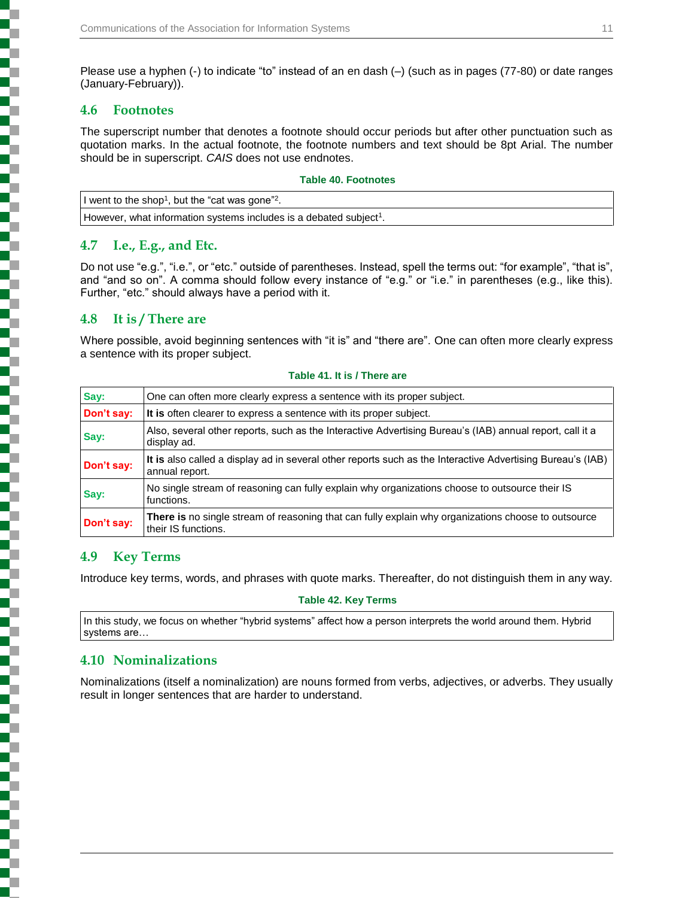Please use a hyphen (-) to indicate "to" instead of an en dash (–) (such as in pages (77-80) or date ranges (January-February)).

### **4.6 Footnotes**

The superscript number that denotes a footnote should occur periods but after other punctuation such as quotation marks. In the actual footnote, the footnote numbers and text should be 8pt Arial. The number should be in superscript. *CAIS* does not use endnotes.

#### **Table 40. Footnotes**

I went to the shop<sup>1</sup>, but the "cat was gone"<sup>2</sup>.

However, what information systems includes is a debated subject<sup>1</sup>.

### **4.7 I.e., E.g., and Etc.**

Do not use "e.g.", "i.e.", or "etc." outside of parentheses. Instead, spell the terms out: "for example", "that is", and "and so on". A comma should follow every instance of "e.g." or "i.e." in parentheses (e.g., like this). Further, "etc." should always have a period with it.

### **4.8 It is / There are**

Where possible, avoid beginning sentences with "it is" and "there are". One can often more clearly express a sentence with its proper subject.

| Say:       | One can often more clearly express a sentence with its proper subject.                                                       |  |
|------------|------------------------------------------------------------------------------------------------------------------------------|--|
| Don't say: | It is often clearer to express a sentence with its proper subject.                                                           |  |
| Say:       | Also, several other reports, such as the Interactive Advertising Bureau's (IAB) annual report, call it a<br>display ad.      |  |
| Don't say: | It is also called a display ad in several other reports such as the Interactive Advertising Bureau's (IAB)<br>annual report. |  |
| Say:       | No single stream of reasoning can fully explain why organizations choose to outsource their IS<br>functions.                 |  |
| Don't say: | There is no single stream of reasoning that can fully explain why organizations choose to outsource<br>their IS functions.   |  |

#### **Table 41. It is / There are**

### **4.9 Key Terms**

Introduce key terms, words, and phrases with quote marks. Thereafter, do not distinguish them in any way.

**Table 42. Key Terms**

In this study, we focus on whether "hybrid systems" affect how a person interprets the world around them. Hybrid systems are…

# **4.10 Nominalizations**

Nominalizations (itself a nominalization) are nouns formed from verbs, adjectives, or adverbs. They usually result in longer sentences that are harder to understand.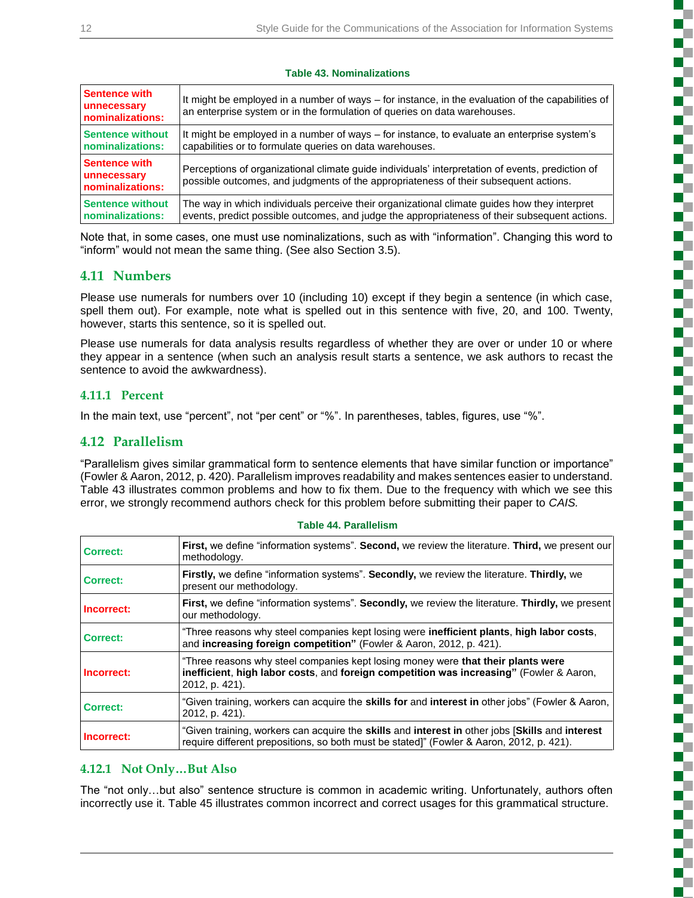۳

į

ś Г ď.

Ł

į

r.

ł

### **Table 43. Nominalizations**

| Sentence with<br>unnecessary<br>nominalizations: | It might be employed in a number of ways – for instance, in the evaluation of the capabilities of<br>an enterprise system or in the formulation of queries on data warehouses.           |  |
|--------------------------------------------------|------------------------------------------------------------------------------------------------------------------------------------------------------------------------------------------|--|
| Sentence without                                 | It might be employed in a number of ways – for instance, to evaluate an enterprise system's                                                                                              |  |
| nominalizations:                                 | capabilities or to formulate queries on data warehouses.                                                                                                                                 |  |
| Sentence with<br>unnecessary<br>nominalizations: | Perceptions of organizational climate guide individuals' interpretation of events, prediction of<br>possible outcomes, and judgments of the appropriateness of their subsequent actions. |  |
| Sentence without                                 | The way in which individuals perceive their organizational climate quides how they interpret                                                                                             |  |
| nominalizations:                                 | events, predict possible outcomes, and judge the appropriateness of their subsequent actions.                                                                                            |  |

Note that, in some cases, one must use nominalizations, such as with "information". Changing this word to "inform" would not mean the same thing. (See also Section 3.5).

### **4.11 Numbers**

Please use numerals for numbers over 10 (including 10) except if they begin a sentence (in which case, spell them out). For example, note what is spelled out in this sentence with five, 20, and 100. Twenty, however, starts this sentence, so it is spelled out.

Please use numerals for data analysis results regardless of whether they are over or under 10 or where they appear in a sentence (when such an analysis result starts a sentence, we ask authors to recast the sentence to avoid the awkwardness).

### **4.11.1 Percent**

In the main text, use "percent", not "per cent" or "%". In parentheses, tables, figures, use "%".

### **4.12 Parallelism**

"Parallelism gives similar grammatical form to sentence elements that have similar function or importance" (Fowler & Aaron, 2012, p. 420). Parallelism improves readability and makes sentences easier to understand. Table 43 illustrates common problems and how to fix them. Due to the frequency with which we see this error, we strongly recommend authors check for this problem before submitting their paper to *CAIS.*

| <b>Correct:</b> | First, we define "information systems". Second, we review the literature. Third, we present our<br>methodology.                                                                                                          |
|-----------------|--------------------------------------------------------------------------------------------------------------------------------------------------------------------------------------------------------------------------|
| Correct:        | Firstly, we define "information systems". Secondly, we review the literature. Thirdly, we<br>present our methodology.                                                                                                    |
| Incorrect:      | First, we define "information systems". Secondly, we review the literature. Thirdly, we present<br>our methodology.                                                                                                      |
| <b>Correct:</b> | "Three reasons why steel companies kept losing were <b>inefficient plants, high labor costs,</b><br>and increasing foreign competition" (Fowler & Aaron, 2012, p. 421).                                                  |
| Incorrect:      | "Three reasons why steel companies kept losing money were that their plants were<br>inefficient, high labor costs, and foreign competition was increasing" (Fowler & Aaron,<br>2012, p. 421).                            |
| <b>Correct:</b> | "Given training, workers can acquire the <b>skills for</b> and <b>interest in</b> other jobs" (Fowler & Aaron,<br>2012, p. 421).                                                                                         |
| Incorrect:      | "Given training, workers can acquire the <b>skills</b> and <b>interest in</b> other jobs [ <b>Skills</b> and <b>interest</b><br>require different prepositions, so both must be stated]" (Fowler & Aaron, 2012, p. 421). |

#### **Table 44. Parallelism**

### **4.12.1 Not Only…But Also**

The "not only…but also" sentence structure is common in academic writing. Unfortunately, authors often incorrectly use it. Table 45 illustrates common incorrect and correct usages for this grammatical structure.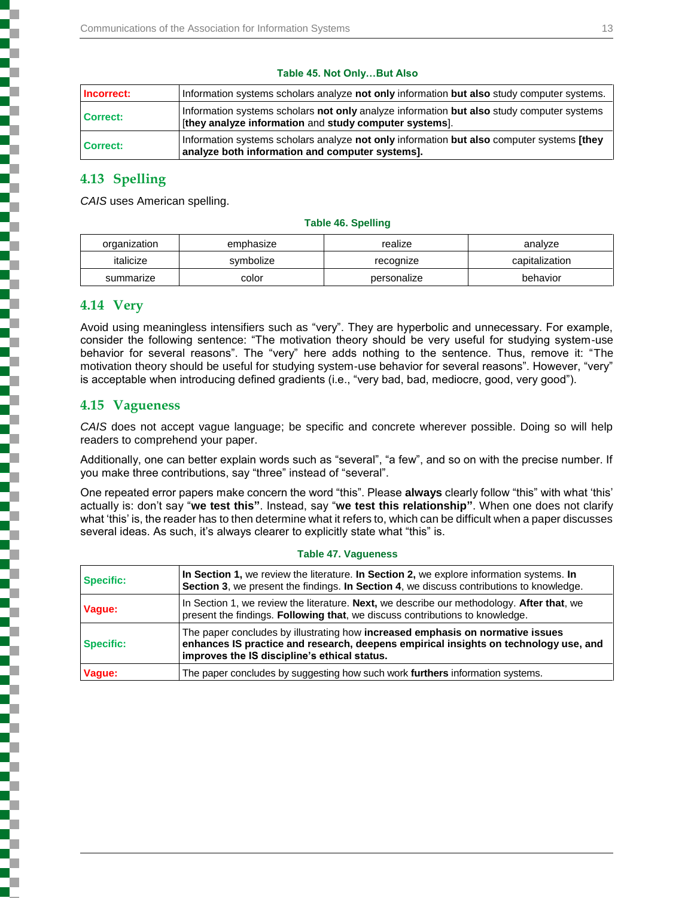| Incorrect:      | Information systems scholars analyze not only information but also study computer systems.                                                          |  |
|-----------------|-----------------------------------------------------------------------------------------------------------------------------------------------------|--|
| <b>Correct:</b> | Information systems scholars not only analyze information but also study computer systems<br>[they analyze information and study computer systems]. |  |
| <b>Correct:</b> | Information systems scholars analyze not only information but also computer systems [they]<br>analyze both information and computer systems].       |  |

#### **Table 45. Not Only…But Also**

### **4.13 Spelling**

*CAIS* uses American spelling.

#### **Table 46. Spelling**

| organization | realize<br>emphasize |             | analvze        |
|--------------|----------------------|-------------|----------------|
| italicize    | symbolize            | recognize   | capitalization |
| summarize    | color                | personalize | behavior       |

### **4.14 Very**

Avoid using meaningless intensifiers such as "very". They are hyperbolic and unnecessary. For example, consider the following sentence: "The motivation theory should be very useful for studying system-use behavior for several reasons". The "very" here adds nothing to the sentence. Thus, remove it: "The motivation theory should be useful for studying system-use behavior for several reasons". However, "very" is acceptable when introducing defined gradients (i.e., "very bad, bad, mediocre, good, very good").

### **4.15 Vagueness**

*CAIS* does not accept vague language; be specific and concrete wherever possible. Doing so will help readers to comprehend your paper.

Additionally, one can better explain words such as "several", "a few", and so on with the precise number. If you make three contributions, say "three" instead of "several".

One repeated error papers make concern the word "this". Please **always** clearly follow "this" with what 'this' actually is: don't say "**we test this"**. Instead, say "**we test this relationship"**. When one does not clarify what 'this' is, the reader has to then determine what it refers to, which can be difficult when a paper discusses several ideas. As such, it's always clearer to explicitly state what "this" is.

| <b>Specific:</b> | In Section 1, we review the literature. In Section 2, we explore information systems. In<br>Section 3, we present the findings. In Section 4, we discuss contributions to knowledge.                                   |  |
|------------------|------------------------------------------------------------------------------------------------------------------------------------------------------------------------------------------------------------------------|--|
| Vaque:           | In Section 1, we review the literature. Next, we describe our methodology. After that, we<br>present the findings. Following that, we discuss contributions to knowledge.                                              |  |
| <b>Specific:</b> | The paper concludes by illustrating how increased emphasis on normative issues<br>enhances IS practice and research, deepens empirical insights on technology use, and<br>improves the IS discipline's ethical status. |  |
| Vaque:           | The paper concludes by suggesting how such work furthers information systems.                                                                                                                                          |  |

#### **Table 47. Vagueness**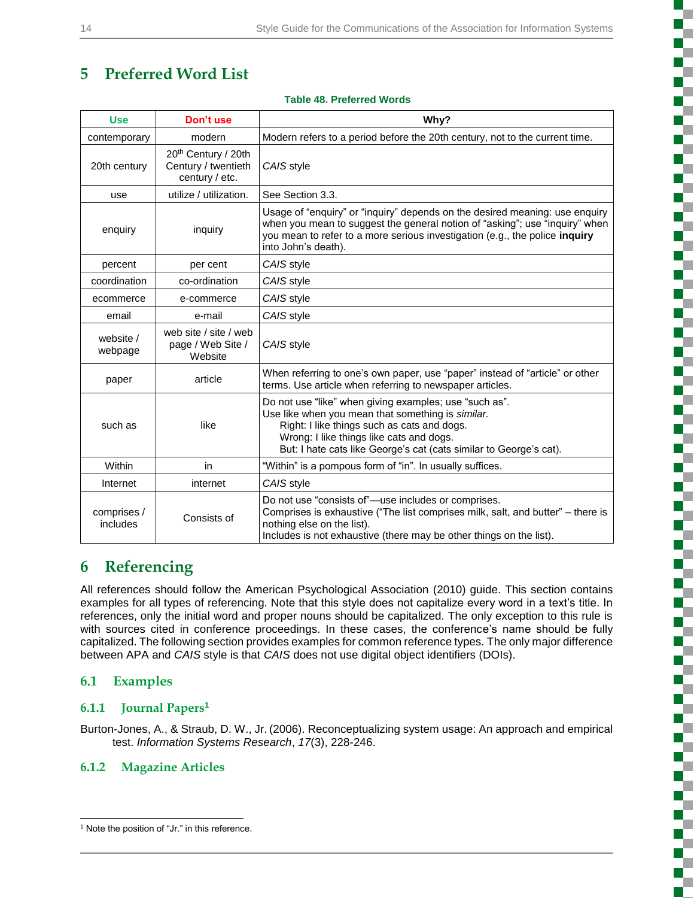# **5 Preferred Word List**

### **Table 48. Preferred Words**

| <b>Use</b>              | Don't use                                                    | Why?                                                                                                                                                                                                                                                                         |  |
|-------------------------|--------------------------------------------------------------|------------------------------------------------------------------------------------------------------------------------------------------------------------------------------------------------------------------------------------------------------------------------------|--|
| contemporary            | modern                                                       | Modern refers to a period before the 20th century, not to the current time.                                                                                                                                                                                                  |  |
| 20th century            | 20th Century / 20th<br>Century / twentieth<br>century / etc. | CAIS style                                                                                                                                                                                                                                                                   |  |
| use                     | utilize / utilization.                                       | See Section 3.3.                                                                                                                                                                                                                                                             |  |
| enquiry                 | inquiry                                                      | Usage of "enquiry" or "inquiry" depends on the desired meaning: use enquiry<br>when you mean to suggest the general notion of "asking"; use "inquiry" when<br>you mean to refer to a more serious investigation (e.g., the police inquiry<br>into John's death).             |  |
| percent                 | per cent                                                     | CAIS style                                                                                                                                                                                                                                                                   |  |
| coordination            | co-ordination                                                | CAIS style                                                                                                                                                                                                                                                                   |  |
| ecommerce               | e-commerce                                                   | CAIS style                                                                                                                                                                                                                                                                   |  |
| email                   | e-mail                                                       | CAIS style                                                                                                                                                                                                                                                                   |  |
| website /<br>webpage    | web site / site / web<br>page / Web Site /<br>Website        | CAIS style                                                                                                                                                                                                                                                                   |  |
| paper                   | article                                                      | When referring to one's own paper, use "paper" instead of "article" or other<br>terms. Use article when referring to newspaper articles.                                                                                                                                     |  |
| such as                 | like                                                         | Do not use "like" when giving examples; use "such as".<br>Use like when you mean that something is similar.<br>Right: I like things such as cats and dogs.<br>Wrong: I like things like cats and dogs.<br>But: I hate cats like George's cat (cats similar to George's cat). |  |
| Within                  | in                                                           | "Within" is a pompous form of "in". In usually suffices.                                                                                                                                                                                                                     |  |
| Internet                | internet                                                     | CAIS style                                                                                                                                                                                                                                                                   |  |
| comprises /<br>includes | Consists of                                                  | Do not use "consists of"-use includes or comprises.<br>Comprises is exhaustive ("The list comprises milk, salt, and butter" - there is<br>nothing else on the list).<br>Includes is not exhaustive (there may be other things on the list).                                  |  |

# **6 Referencing**

All references should follow the American Psychological Association (2010) guide. This section contains examples for all types of referencing. Note that this style does not capitalize every word in a text's title. In references, only the initial word and proper nouns should be capitalized. The only exception to this rule is with sources cited in conference proceedings. In these cases, the conference's name should be fully capitalized. The following section provides examples for common reference types. The only major difference between APA and *CAIS* style is that *CAIS* does not use digital object identifiers (DOIs).

### **6.1 Examples**

### **6.1.1 Journal Papers<sup>1</sup>**

Burton-Jones, A., & Straub, D. W., Jr. (2006). Reconceptualizing system usage: An approach and empirical test. *Information Systems Research*, *17*(3), 228-246.

### **6.1.2 Magazine Articles**

l <sup>1</sup> Note the position of "Jr." in this reference.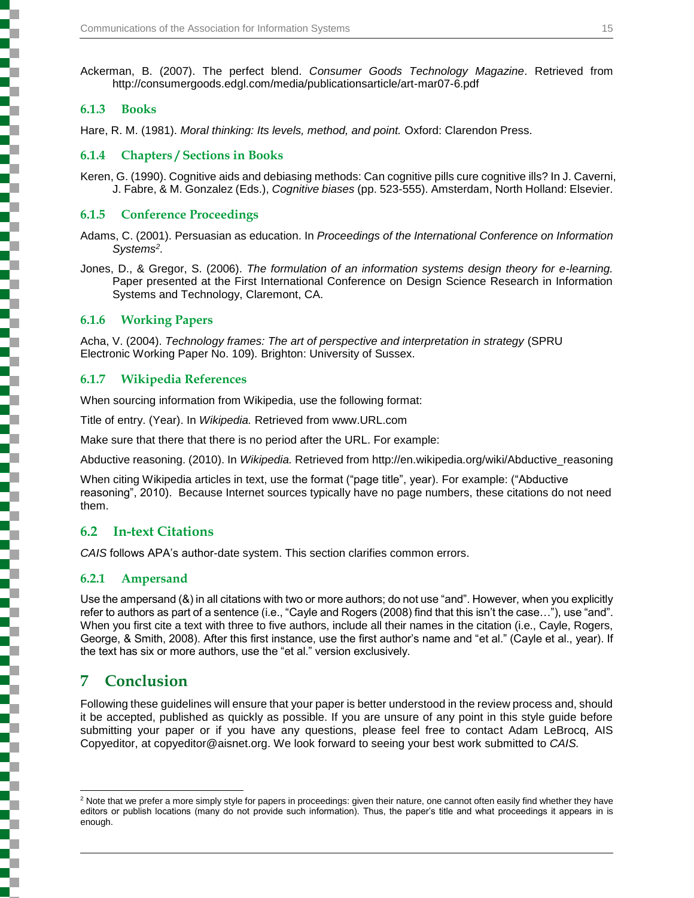Ackerman, B. (2007). The perfect blend. *Consumer Goods Technology Magazine*. Retrieved from http://consumergoods.edgl.com/media/publicationsarticle/art-mar07-6.pdf

### **6.1.3 Books**

Hare, R. M. (1981). *Moral thinking: Its levels, method, and point.* Oxford: Clarendon Press.

### **6.1.4 Chapters / Sections in Books**

Keren, G. (1990). Cognitive aids and debiasing methods: Can cognitive pills cure cognitive ills? In J. Caverni, J. Fabre, & M. Gonzalez (Eds.), *Cognitive biases* (pp. 523-555). Amsterdam, North Holland: Elsevier.

### **6.1.5 Conference Proceedings**

Adams, C. (2001). Persuasian as education. In *Proceedings of the International Conference on Information Systems 2 .*

Jones, D., & Gregor, S. (2006). *The formulation of an information systems design theory for e-learning.* Paper presented at the First International Conference on Design Science Research in Information Systems and Technology, Claremont, CA.

### **6.1.6 Working Papers**

Acha, V. (2004). *Technology frames: The art of perspective and interpretation in strategy* (SPRU Electronic Working Paper No. 109)*.* Brighton: University of Sussex.

### **6.1.7 Wikipedia References**

When sourcing information from Wikipedia, use the following format:

Title of entry. (Year). In *Wikipedia.* Retrieved from www.URL.com

Make sure that there that there is no period after the URL. For example:

Abductive reasoning. (2010). In *Wikipedia.* Retrieved from http://en.wikipedia.org/wiki/Abductive\_reasoning

When citing Wikipedia articles in text, use the format ("page title", year). For example: ("Abductive reasoning", 2010). Because Internet sources typically have no page numbers, these citations do not need them.

### **6.2 In-text Citations**

*CAIS* follows APA's author-date system. This section clarifies common errors.

### **6.2.1 Ampersand**

Use the ampersand (&) in all citations with two or more authors; do not use "and". However, when you explicitly refer to authors as part of a sentence (i.e., "Cayle and Rogers (2008) find that this isn't the case…"), use "and". When you first cite a text with three to five authors, include all their names in the citation (i.e., Cayle, Rogers, George, & Smith, 2008). After this first instance, use the first author's name and "et al." (Cayle et al., year). If the text has six or more authors, use the "et al." version exclusively.

# **7 Conclusion**

Following these guidelines will ensure that your paper is better understood in the review process and, should it be accepted, published as quickly as possible. If you are unsure of any point in this style guide before submitting your paper or if you have any questions, please feel free to contact Adam LeBrocq, AIS Copyeditor, at copyeditor@aisnet.org. We look forward to seeing your best work submitted to *CAIS.*

l <sup>2</sup> Note that we prefer a more simply style for papers in proceedings: given their nature, one cannot often easily find whether they have editors or publish locations (many do not provide such information). Thus, the paper's title and what proceedings it appears in is enough.